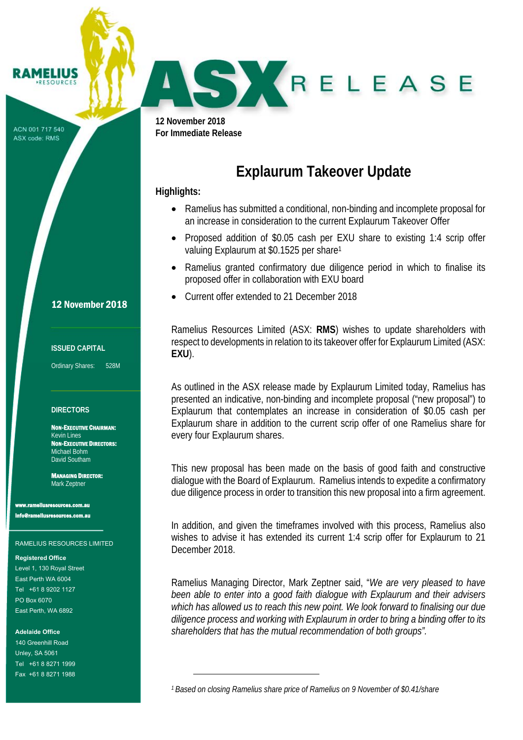ACN 001 717 540 ASX code: RMS

AMELIUS **PESOURCE** 

r

**12 November 2018 For Immediate Release** 

# **Explaurum Takeover Update**

## **Highlights:**

 $\overline{\phantom{0}}$ 

J

- Ramelius has submitted a conditional, non-binding and incomplete proposal for an increase in consideration to the current Explaurum Takeover Offer
- Proposed addition of \$0.05 cash per EXU share to existing 1:4 scrip offer valuing Explaurum at \$0.1525 per share<sup>1</sup>
- Ramelius granted confirmatory due diligence period in which to finalise its proposed offer in collaboration with EXU board
- Current offer extended to 21 December 2018

Ramelius Resources Limited (ASX: **RMS**) wishes to update shareholders with respect to developments in relation to its takeover offer for Explaurum Limited (ASX: **EXU**).

As outlined in the ASX release made by Explaurum Limited today, Ramelius has presented an indicative, non-binding and incomplete proposal ("new proposal") to Explaurum that contemplates an increase in consideration of \$0.05 cash per Explaurum share in addition to the current scrip offer of one Ramelius share for every four Explaurum shares.

This new proposal has been made on the basis of good faith and constructive dialogue with the Board of Explaurum. Ramelius intends to expedite a confirmatory due diligence process in order to transition this new proposal into a firm agreement.

In addition, and given the timeframes involved with this process, Ramelius also wishes to advise it has extended its current 1:4 scrip offer for Explaurum to 21 December 2018.

Ramelius Managing Director, Mark Zeptner said, "*We are very pleased to have been able to enter into a good faith dialogue with Explaurum and their advisers which has allowed us to reach this new point. We look forward to finalising our due diligence process and working with Explaurum in order to bring a binding offer to its shareholders that has the mutual recommendation of both groups".*

*1 Based on closing Ramelius share price of Ramelius on 9 November of \$0.41/share*

12 November 2018

#### **ISSUED CAPITAL**

Ordinary Shares: 528M

#### **DIRECTORS**

NON-EXECUTIVE CHAIRMAN: Kevin Lines NON-EXECUTIVE DIRECTORS: Michael Bohm David Southam

MANAGING DIRECTOR: Mark Zeptner

ww.<br>www.com.au info@rameliusresources.com.au

#### RAMELIUS RESOURCES LIMITED

#### **Registered Office**

Level 1, 130 Royal Street East Perth WA 6004 Tel +61 8 9202 1127 PO Box 6070 East Perth, WA 6892

#### **Adelaide Office**

140 Greenhill Road Unley, SA 5061 Tel +61 8 8271 1999 Fax +61 8 8271 1988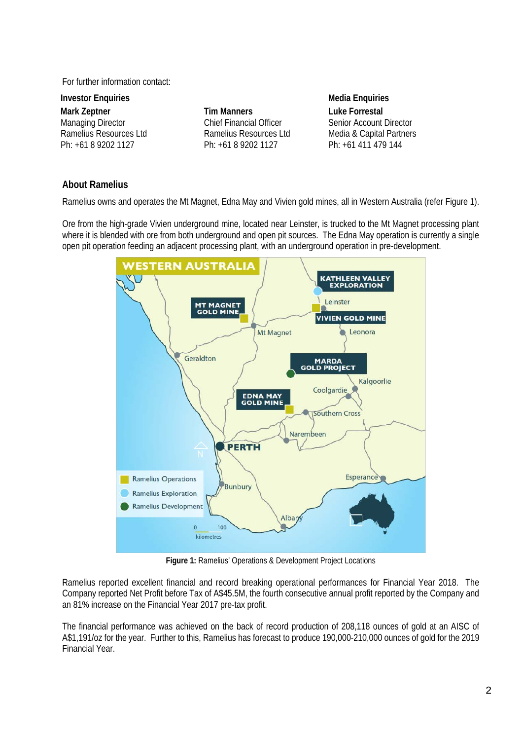For further information contact:

**Investor Enquiries Contract Enguiries According to According Media Enquiries Mark Zeptner**  Managing Director Ramelius Resources Ltd Ph: +61 8 9202 1127

**Tim Manners**  Chief Financial Officer Ramelius Resources Ltd Ph: +61 8 9202 1127

**Luke Forrestal** Senior Account Director Media & Capital Partners Ph: +61 411 479 144

### **About Ramelius**

Ramelius owns and operates the Mt Magnet, Edna May and Vivien gold mines, all in Western Australia (refer Figure 1).

Ore from the high-grade Vivien underground mine, located near Leinster, is trucked to the Mt Magnet processing plant where it is blended with ore from both underground and open pit sources. The Edna May operation is currently a single open pit operation feeding an adjacent processing plant, with an underground operation in pre-development.



**Figure 1:** Ramelius' Operations & Development Project Locations

Ramelius reported excellent financial and record breaking operational performances for Financial Year 2018. The Company reported Net Profit before Tax of A\$45.5M, the fourth consecutive annual profit reported by the Company and an 81% increase on the Financial Year 2017 pre-tax profit.

The financial performance was achieved on the back of record production of 208,118 ounces of gold at an AISC of A\$1,191/oz for the year. Further to this, Ramelius has forecast to produce 190,000-210,000 ounces of gold for the 2019 Financial Year.